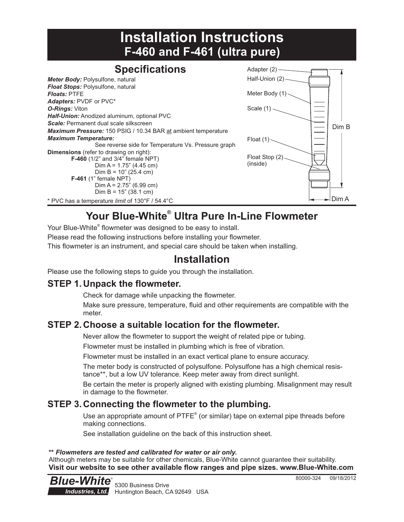## **Installation Instructions F-460 and F-461 (ultra pure)**

#### **Specifications** *Meter Body:* Polysulfone, natural *Float Stops:* Polysulfone, natural *Floats:* PTFE *Adapters:* PVDF or PVC\* *O-Rings:* Viton *Half-Union:* Anodized aluminum, optional PVC *Scale:* Permanent dual scale silkscreen *Maximum Pressure:* 150 PSIG / 10.34 BAR at ambient temperature *Maximum Temperature:* See reverse side for Temperature Vs. Pressure graph **Dimensions** (refer to drawing on right): **F-460** (1/2" and 3/4" female NPT) Dim A =  $1.75$ " (4.45 cm)  $Dim B = 10" (25.4 cm)$ **F-461** (1" female NPT)  $Dim A = 2.75" (6.99 cm)$ Dim B =  $15$ " (38.1 cm) \* PVC has a temperature *limit* of 130°F / 54.4°C



# **® Your Blue-White Ultra Pure In-Line Flowmeter**

Your Blue-White<sup>®</sup> flowmeter was designed to be easy to install.

Please read the following instructions before installing your flowmeter.

This flowmeter is an instrument, and special care should be taken when installing.

## **Installation**

Please use the following steps to guide you through the installation.

### **STEP 1. Unpack the flowmeter.**

Check for damage while unpacking the flowmeter.

Make sure pressure, temperature, fluid and other requirements are compatible with the meter.

### **STEP 2. Choose a suitable location for the flowmeter.**

Never allow the flowmeter to support the weight of related pipe or tubing.

Flowmeter must be installed in plumbing which is free of vibration.

Flowmeter must be installed in an exact vertical plane to ensure accuracy.

The meter body is constructed of polysulfone. Polysulfone has a high chemical resistance\*\*, but a low UV tolerance. Keep meter away from direct sunlight.

Be certain the meter is properly aligned with existing plumbing. Misalignment may result in damage to the flowmeter.

### **STEP 3. Connecting the flowmeter to the plumbing.**

Use an appropriate amount of  $PTFE^{\circ}$  (or similar) tape on external pipe threads before making connections.

See installation guideline on the back of this instruction sheet.

#### **\*\*** *Flowmeters are tested and calibrated for water or air only.*

Although meters may be suitable for other chemicals, Blue-White cannot guarantee their suitability. **Visit our website to see other available flow ranges and pipe sizes. www.Blue-White.com** 

5300 Business Drive Huntington Beach, CA 92649 USA *Blue-White Industries, Ltd.* R